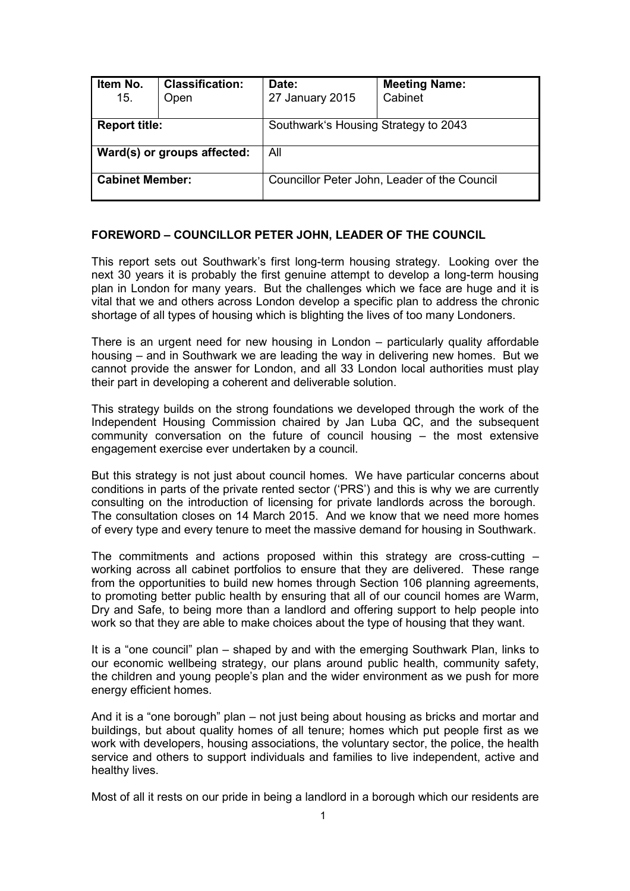| Item No.<br>15.             | <b>Classification:</b><br>Open | Date:<br>27 January 2015                     | <b>Meeting Name:</b><br>Cabinet |  |
|-----------------------------|--------------------------------|----------------------------------------------|---------------------------------|--|
| <b>Report title:</b>        |                                | Southwark's Housing Strategy to 2043         |                                 |  |
| Ward(s) or groups affected: |                                | All                                          |                                 |  |
| <b>Cabinet Member:</b>      |                                | Councillor Peter John, Leader of the Council |                                 |  |

### **FOREWORD – COUNCILLOR PETER JOHN, LEADER OF THE COUNCIL**

This report sets out Southwark's first long-term housing strategy. Looking over the next 30 years it is probably the first genuine attempt to develop a long-term housing plan in London for many years. But the challenges which we face are huge and it is vital that we and others across London develop a specific plan to address the chronic shortage of all types of housing which is blighting the lives of too many Londoners.

There is an urgent need for new housing in London – particularly quality affordable housing – and in Southwark we are leading the way in delivering new homes. But we cannot provide the answer for London, and all 33 London local authorities must play their part in developing a coherent and deliverable solution.

This strategy builds on the strong foundations we developed through the work of the Independent Housing Commission chaired by Jan Luba QC, and the subsequent community conversation on the future of council housing – the most extensive engagement exercise ever undertaken by a council.

But this strategy is not just about council homes. We have particular concerns about conditions in parts of the private rented sector ('PRS') and this is why we are currently consulting on the introduction of licensing for private landlords across the borough. The consultation closes on 14 March 2015. And we know that we need more homes of every type and every tenure to meet the massive demand for housing in Southwark.

The commitments and actions proposed within this strategy are cross-cutting – working across all cabinet portfolios to ensure that they are delivered. These range from the opportunities to build new homes through Section 106 planning agreements, to promoting better public health by ensuring that all of our council homes are Warm, Dry and Safe, to being more than a landlord and offering support to help people into work so that they are able to make choices about the type of housing that they want.

It is a "one council" plan – shaped by and with the emerging Southwark Plan, links to our economic wellbeing strategy, our plans around public health, community safety, the children and young people's plan and the wider environment as we push for more energy efficient homes.

And it is a "one borough" plan – not just being about housing as bricks and mortar and buildings, but about quality homes of all tenure; homes which put people first as we work with developers, housing associations, the voluntary sector, the police, the health service and others to support individuals and families to live independent, active and healthy lives.

Most of all it rests on our pride in being a landlord in a borough which our residents are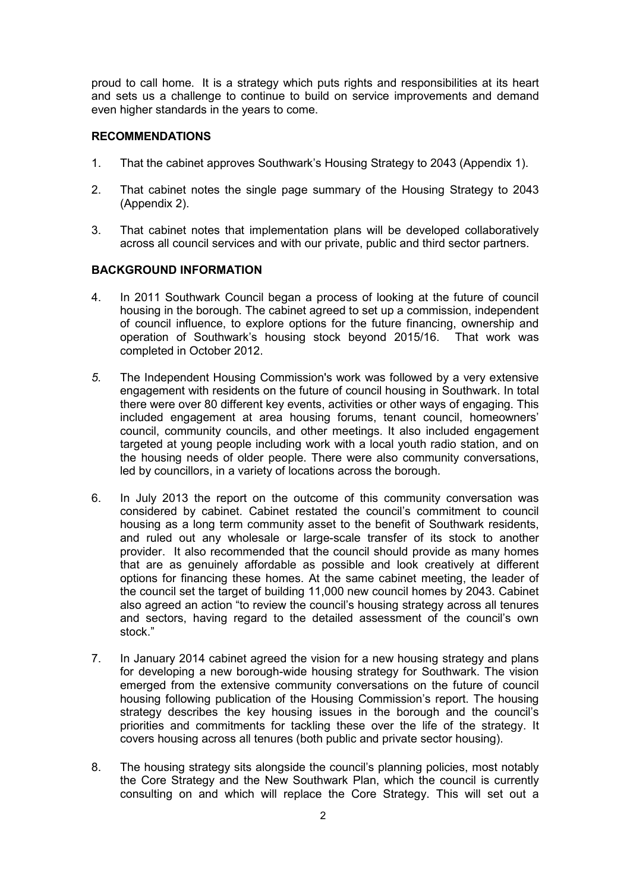proud to call home. It is a strategy which puts rights and responsibilities at its heart and sets us a challenge to continue to build on service improvements and demand even higher standards in the years to come.

#### **RECOMMENDATIONS**

- 1. That the cabinet approves Southwark's Housing Strategy to 2043 (Appendix 1).
- 2. That cabinet notes the single page summary of the Housing Strategy to 2043 (Appendix 2).
- 3. That cabinet notes that implementation plans will be developed collaboratively across all council services and with our private, public and third sector partners.

### **BACKGROUND INFORMATION**

- 4. In 2011 Southwark Council began a process of looking at the future of council housing in the borough. The cabinet agreed to set up a commission, independent of council influence, to explore options for the future financing, ownership and operation of Southwark's housing stock beyond 2015/16. That work was completed in October 2012.
- *5.* The Independent Housing Commission's work was followed by a very extensive engagement with residents on the future of council housing in Southwark. In total there were over 80 different key events, activities or other ways of engaging. This included engagement at area housing forums, tenant council, homeowners' council, community councils, and other meetings. It also included engagement targeted at young people including work with a local youth radio station, and on the housing needs of older people. There were also community conversations, led by councillors, in a variety of locations across the borough.
- 6. In July 2013 the report on the outcome of this community conversation was considered by cabinet. Cabinet restated the council's commitment to council housing as a long term community asset to the benefit of Southwark residents, and ruled out any wholesale or large-scale transfer of its stock to another provider. It also recommended that the council should provide as many homes that are as genuinely affordable as possible and look creatively at different options for financing these homes. At the same cabinet meeting, the leader of the council set the target of building 11,000 new council homes by 2043. Cabinet also agreed an action "to review the council's housing strategy across all tenures and sectors, having regard to the detailed assessment of the council's own stock."
- 7. In January 2014 cabinet agreed the vision for a new housing strategy and plans for developing a new borough-wide housing strategy for Southwark. The vision emerged from the extensive community conversations on the future of council housing following publication of the Housing Commission's report. The housing strategy describes the key housing issues in the borough and the council's priorities and commitments for tackling these over the life of the strategy. It covers housing across all tenures (both public and private sector housing).
- 8. The housing strategy sits alongside the council's planning policies, most notably the Core Strategy and the New Southwark Plan, which the council is currently consulting on and which will replace the Core Strategy. This will set out a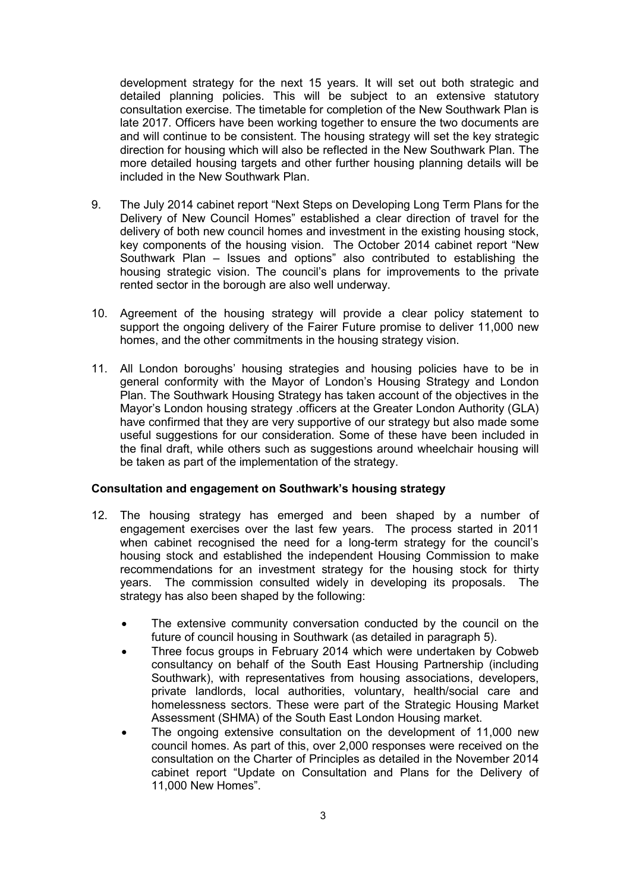development strategy for the next 15 years. It will set out both strategic and detailed planning policies. This will be subject to an extensive statutory consultation exercise. The timetable for completion of the New Southwark Plan is late 2017. Officers have been working together to ensure the two documents are and will continue to be consistent. The housing strategy will set the key strategic direction for housing which will also be reflected in the New Southwark Plan. The more detailed housing targets and other further housing planning details will be included in the New Southwark Plan.

- 9. The July 2014 cabinet report "Next Steps on Developing Long Term Plans for the Delivery of New Council Homes" established a clear direction of travel for the delivery of both new council homes and investment in the existing housing stock, key components of the housing vision. The October 2014 cabinet report "New Southwark Plan – Issues and options" also contributed to establishing the housing strategic vision. The council's plans for improvements to the private rented sector in the borough are also well underway.
- 10. Agreement of the housing strategy will provide a clear policy statement to support the ongoing delivery of the Fairer Future promise to deliver 11,000 new homes, and the other commitments in the housing strategy vision.
- 11. All London boroughs' housing strategies and housing policies have to be in general conformity with the Mayor of London's Housing Strategy and London Plan. The Southwark Housing Strategy has taken account of the objectives in the Mayor's London housing strategy .officers at the Greater London Authority (GLA) have confirmed that they are very supportive of our strategy but also made some useful suggestions for our consideration. Some of these have been included in the final draft, while others such as suggestions around wheelchair housing will be taken as part of the implementation of the strategy.

#### **Consultation and engagement on Southwark's housing strategy**

- 12. The housing strategy has emerged and been shaped by a number of engagement exercises over the last few years. The process started in 2011 when cabinet recognised the need for a long-term strategy for the council's housing stock and established the independent Housing Commission to make recommendations for an investment strategy for the housing stock for thirty years. The commission consulted widely in developing its proposals. The strategy has also been shaped by the following:
	- The extensive community conversation conducted by the council on the future of council housing in Southwark (as detailed in paragraph 5).
	- Three focus groups in February 2014 which were undertaken by Cobweb consultancy on behalf of the South East Housing Partnership (including Southwark), with representatives from housing associations, developers, private landlords, local authorities, voluntary, health/social care and homelessness sectors. These were part of the Strategic Housing Market Assessment (SHMA) of the South East London Housing market.
	- The ongoing extensive consultation on the development of 11,000 new council homes. As part of this, over 2,000 responses were received on the consultation on the Charter of Principles as detailed in the November 2014 cabinet report "Update on Consultation and Plans for the Delivery of 11,000 New Homes".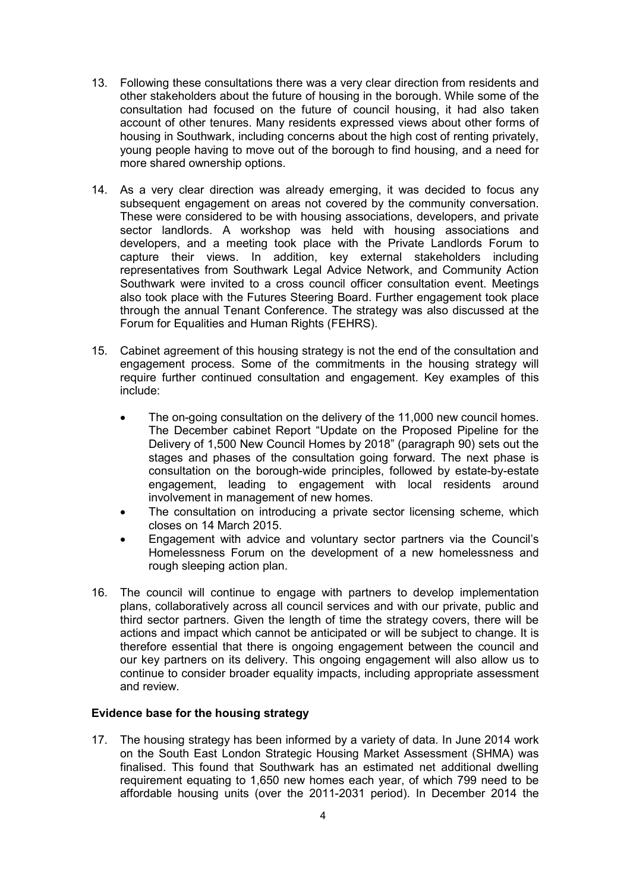- 13. Following these consultations there was a very clear direction from residents and other stakeholders about the future of housing in the borough. While some of the consultation had focused on the future of council housing, it had also taken account of other tenures. Many residents expressed views about other forms of housing in Southwark, including concerns about the high cost of renting privately, young people having to move out of the borough to find housing, and a need for more shared ownership options.
- 14. As a very clear direction was already emerging, it was decided to focus any subsequent engagement on areas not covered by the community conversation. These were considered to be with housing associations, developers, and private sector landlords. A workshop was held with housing associations and developers, and a meeting took place with the Private Landlords Forum to capture their views. In addition, key external stakeholders including representatives from Southwark Legal Advice Network, and Community Action Southwark were invited to a cross council officer consultation event. Meetings also took place with the Futures Steering Board. Further engagement took place through the annual Tenant Conference. The strategy was also discussed at the Forum for Equalities and Human Rights (FEHRS).
- 15. Cabinet agreement of this housing strategy is not the end of the consultation and engagement process. Some of the commitments in the housing strategy will require further continued consultation and engagement. Key examples of this include:
	- The on-going consultation on the delivery of the 11,000 new council homes. The December cabinet Report "Update on the Proposed Pipeline for the Delivery of 1,500 New Council Homes by 2018" (paragraph 90) sets out the stages and phases of the consultation going forward. The next phase is consultation on the borough-wide principles, followed by estate-by-estate engagement, leading to engagement with local residents around involvement in management of new homes.
	- The consultation on introducing a private sector licensing scheme, which closes on 14 March 2015.
	- Engagement with advice and voluntary sector partners via the Council's Homelessness Forum on the development of a new homelessness and rough sleeping action plan.
- 16. The council will continue to engage with partners to develop implementation plans, collaboratively across all council services and with our private, public and third sector partners. Given the length of time the strategy covers, there will be actions and impact which cannot be anticipated or will be subject to change. It is therefore essential that there is ongoing engagement between the council and our key partners on its delivery. This ongoing engagement will also allow us to continue to consider broader equality impacts, including appropriate assessment and review.

#### **Evidence base for the housing strategy**

17. The housing strategy has been informed by a variety of data. In June 2014 work on the South East London Strategic Housing Market Assessment (SHMA) was finalised. This found that Southwark has an estimated net additional dwelling requirement equating to 1,650 new homes each year, of which 799 need to be affordable housing units (over the 2011-2031 period). In December 2014 the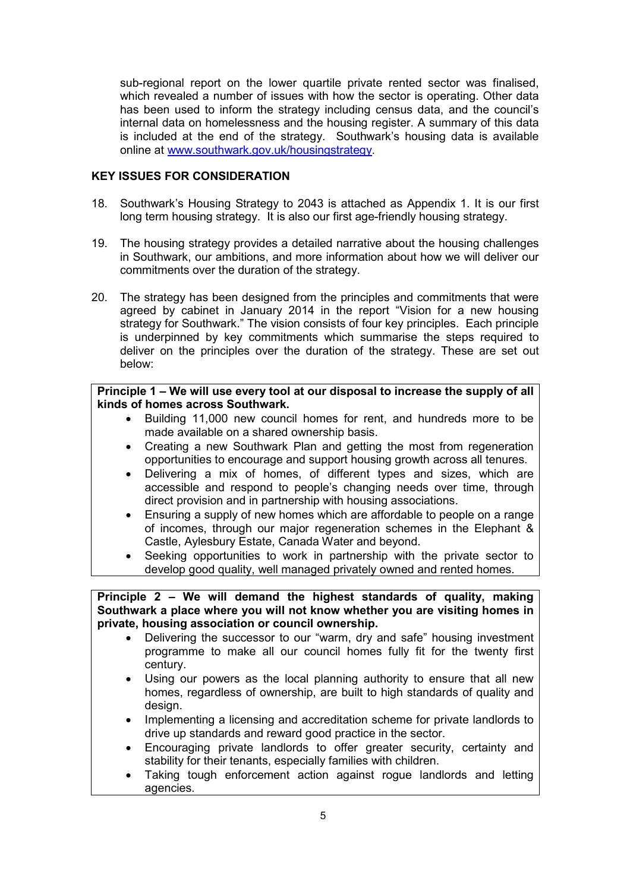sub-regional report on the lower quartile private rented sector was finalised, which revealed a number of issues with how the sector is operating. Other data has been used to inform the strategy including census data, and the council's internal data on homelessness and the housing register. A summary of this data is included at the end of the strategy. Southwark's housing data is available online at www.southwark.gov.uk/housingstrategy.

# **KEY ISSUES FOR CONSIDERATION**

- 18. Southwark's Housing Strategy to 2043 is attached as Appendix 1. It is our first long term housing strategy. It is also our first age-friendly housing strategy.
- 19. The housing strategy provides a detailed narrative about the housing challenges in Southwark, our ambitions, and more information about how we will deliver our commitments over the duration of the strategy.
- 20. The strategy has been designed from the principles and commitments that were agreed by cabinet in January 2014 in the report "Vision for a new housing strategy for Southwark." The vision consists of four key principles. Each principle is underpinned by key commitments which summarise the steps required to deliver on the principles over the duration of the strategy. These are set out below:

### **Principle 1 – We will use every tool at our disposal to increase the supply of all kinds of homes across Southwark.**

- Building 11,000 new council homes for rent, and hundreds more to be made available on a shared ownership basis.
- Creating a new Southwark Plan and getting the most from regeneration opportunities to encourage and support housing growth across all tenures.
- Delivering a mix of homes, of different types and sizes, which are accessible and respond to people's changing needs over time, through direct provision and in partnership with housing associations.
- Ensuring a supply of new homes which are affordable to people on a range of incomes, through our major regeneration schemes in the Elephant & Castle, Aylesbury Estate, Canada Water and beyond.
- Seeking opportunities to work in partnership with the private sector to develop good quality, well managed privately owned and rented homes.

### **Principle 2 – We will demand the highest standards of quality, making Southwark a place where you will not know whether you are visiting homes in private, housing association or council ownership.**

- Delivering the successor to our "warm, dry and safe" housing investment programme to make all our council homes fully fit for the twenty first century.
- Using our powers as the local planning authority to ensure that all new homes, regardless of ownership, are built to high standards of quality and design.
- Implementing a licensing and accreditation scheme for private landlords to drive up standards and reward good practice in the sector.
- Encouraging private landlords to offer greater security, certainty and stability for their tenants, especially families with children.
- Taking tough enforcement action against rogue landlords and letting agencies.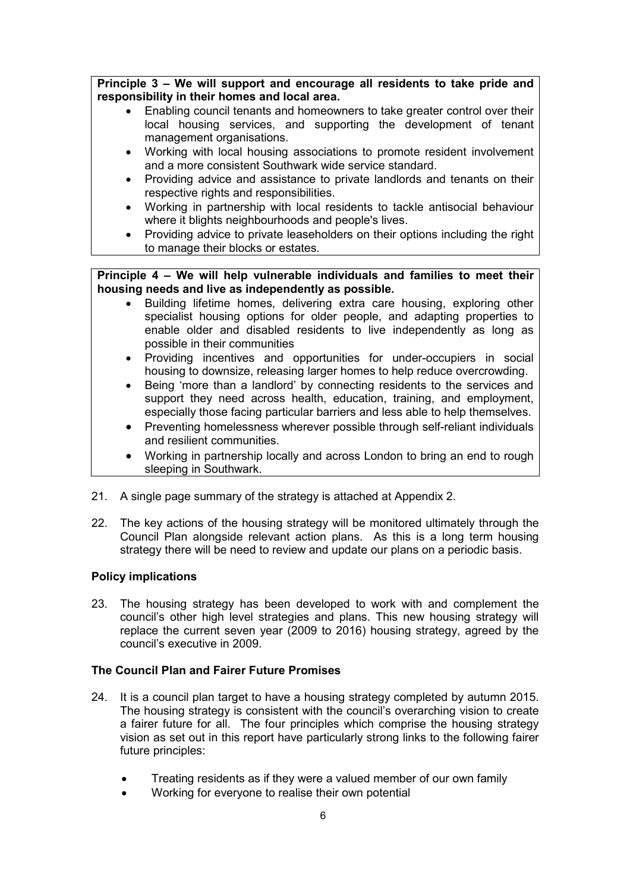**Principle 3 – We will support and encourage all residents to take pride and responsibility in their homes and local area.** 

- Enabling council tenants and homeowners to take greater control over their local housing services, and supporting the development of tenant management organisations.
- Working with local housing associations to promote resident involvement and a more consistent Southwark wide service standard.
- Providing advice and assistance to private landlords and tenants on their respective rights and responsibilities.
- Working in partnership with local residents to tackle antisocial behaviour where it blights neighbourhoods and people's lives.
- Providing advice to private leaseholders on their options including the right to manage their blocks or estates.

**Principle 4 – We will help vulnerable individuals and families to meet their housing needs and live as independently as possible.** 

- Building lifetime homes, delivering extra care housing, exploring other specialist housing options for older people, and adapting properties to enable older and disabled residents to live independently as long as possible in their communities
- Providing incentives and opportunities for under-occupiers in social housing to downsize, releasing larger homes to help reduce overcrowding.
- Being 'more than a landlord' by connecting residents to the services and support they need across health, education, training, and employment, especially those facing particular barriers and less able to help themselves.
- Preventing homelessness wherever possible through self-reliant individuals and resilient communities.
- Working in partnership locally and across London to bring an end to rough sleeping in Southwark.
- 21. A single page summary of the strategy is attached at Appendix 2.
- 22. The key actions of the housing strategy will be monitored ultimately through the Council Plan alongside relevant action plans. As this is a long term housing strategy there will be need to review and update our plans on a periodic basis.

#### **Policy implications**

23. The housing strategy has been developed to work with and complement the council's other high level strategies and plans. This new housing strategy will replace the current seven year (2009 to 2016) housing strategy, agreed by the council's executive in 2009.

#### **The Council Plan and Fairer Future Promises**

- 24. It is a council plan target to have a housing strategy completed by autumn 2015. The housing strategy is consistent with the council's overarching vision to create a fairer future for all. The four principles which comprise the housing strategy vision as set out in this report have particularly strong links to the following fairer future principles:
	- Treating residents as if they were a valued member of our own family
	- Working for everyone to realise their own potential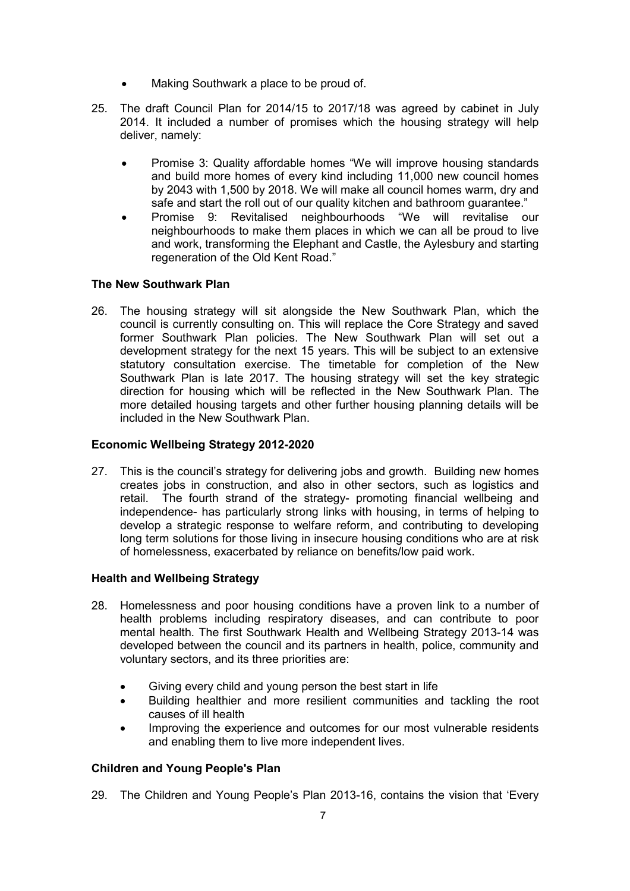- Making Southwark a place to be proud of.
- 25. The draft Council Plan for 2014/15 to 2017/18 was agreed by cabinet in July 2014. It included a number of promises which the housing strategy will help deliver, namely:
	- Promise 3: Quality affordable homes "We will improve housing standards and build more homes of every kind including 11,000 new council homes by 2043 with 1,500 by 2018. We will make all council homes warm, dry and safe and start the roll out of our quality kitchen and bathroom guarantee."
	- Promise 9: Revitalised neighbourhoods "We will revitalise our neighbourhoods to make them places in which we can all be proud to live and work, transforming the Elephant and Castle, the Aylesbury and starting regeneration of the Old Kent Road."

# **The New Southwark Plan**

26. The housing strategy will sit alongside the New Southwark Plan, which the council is currently consulting on. This will replace the Core Strategy and saved former Southwark Plan policies. The New Southwark Plan will set out a development strategy for the next 15 years. This will be subject to an extensive statutory consultation exercise. The timetable for completion of the New Southwark Plan is late 2017. The housing strategy will set the key strategic direction for housing which will be reflected in the New Southwark Plan. The more detailed housing targets and other further housing planning details will be included in the New Southwark Plan.

# **Economic Wellbeing Strategy 2012-2020**

27. This is the council's strategy for delivering jobs and growth. Building new homes creates jobs in construction, and also in other sectors, such as logistics and retail. The fourth strand of the strategy- promoting financial wellbeing and independence- has particularly strong links with housing, in terms of helping to develop a strategic response to welfare reform, and contributing to developing long term solutions for those living in insecure housing conditions who are at risk of homelessness, exacerbated by reliance on benefits/low paid work.

# **Health and Wellbeing Strategy**

- 28. Homelessness and poor housing conditions have a proven link to a number of health problems including respiratory diseases, and can contribute to poor mental health. The first Southwark Health and Wellbeing Strategy 2013-14 was developed between the council and its partners in health, police, community and voluntary sectors, and its three priorities are:
	- Giving every child and young person the best start in life
	- Building healthier and more resilient communities and tackling the root causes of ill health
	- Improving the experience and outcomes for our most vulnerable residents and enabling them to live more independent lives.

# **Children and Young People's Plan**

29. The Children and Young People's Plan 2013-16, contains the vision that 'Every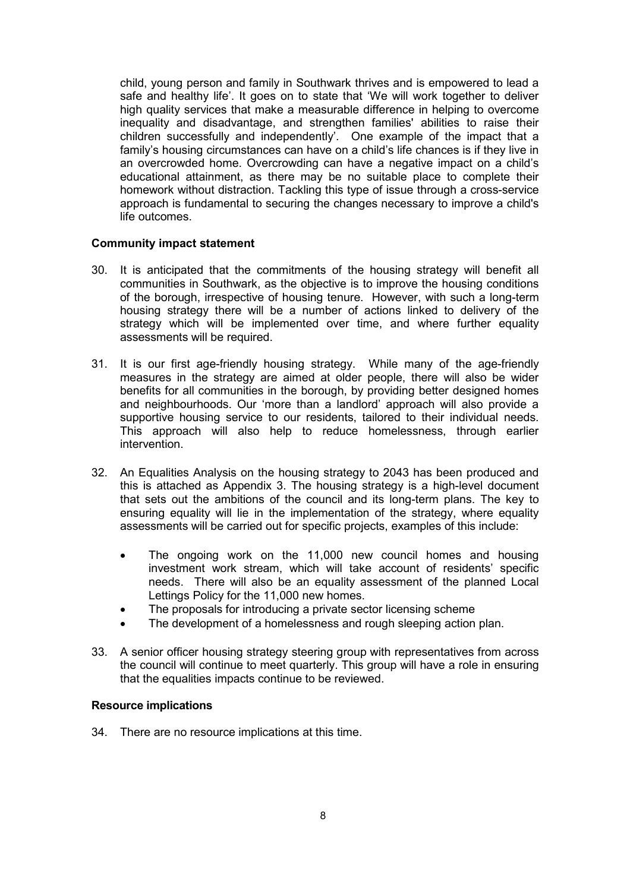child, young person and family in Southwark thrives and is empowered to lead a safe and healthy life'. It goes on to state that 'We will work together to deliver high quality services that make a measurable difference in helping to overcome inequality and disadvantage, and strengthen families' abilities to raise their children successfully and independently'. One example of the impact that a family's housing circumstances can have on a child's life chances is if they live in an overcrowded home. Overcrowding can have a negative impact on a child's educational attainment, as there may be no suitable place to complete their homework without distraction. Tackling this type of issue through a cross-service approach is fundamental to securing the changes necessary to improve a child's life outcomes.

### **Community impact statement**

- 30. It is anticipated that the commitments of the housing strategy will benefit all communities in Southwark, as the objective is to improve the housing conditions of the borough, irrespective of housing tenure. However, with such a long-term housing strategy there will be a number of actions linked to delivery of the strategy which will be implemented over time, and where further equality assessments will be required.
- 31. It is our first age-friendly housing strategy. While many of the age-friendly measures in the strategy are aimed at older people, there will also be wider benefits for all communities in the borough, by providing better designed homes and neighbourhoods. Our 'more than a landlord' approach will also provide a supportive housing service to our residents, tailored to their individual needs. This approach will also help to reduce homelessness, through earlier intervention.
- 32. An Equalities Analysis on the housing strategy to 2043 has been produced and this is attached as Appendix 3. The housing strategy is a high-level document that sets out the ambitions of the council and its long-term plans. The key to ensuring equality will lie in the implementation of the strategy, where equality assessments will be carried out for specific projects, examples of this include:
	- The ongoing work on the 11,000 new council homes and housing investment work stream, which will take account of residents' specific needs. There will also be an equality assessment of the planned Local Lettings Policy for the 11,000 new homes.
	- The proposals for introducing a private sector licensing scheme
	- The development of a homelessness and rough sleeping action plan.
- 33. A senior officer housing strategy steering group with representatives from across the council will continue to meet quarterly. This group will have a role in ensuring that the equalities impacts continue to be reviewed.

#### **Resource implications**

34. There are no resource implications at this time.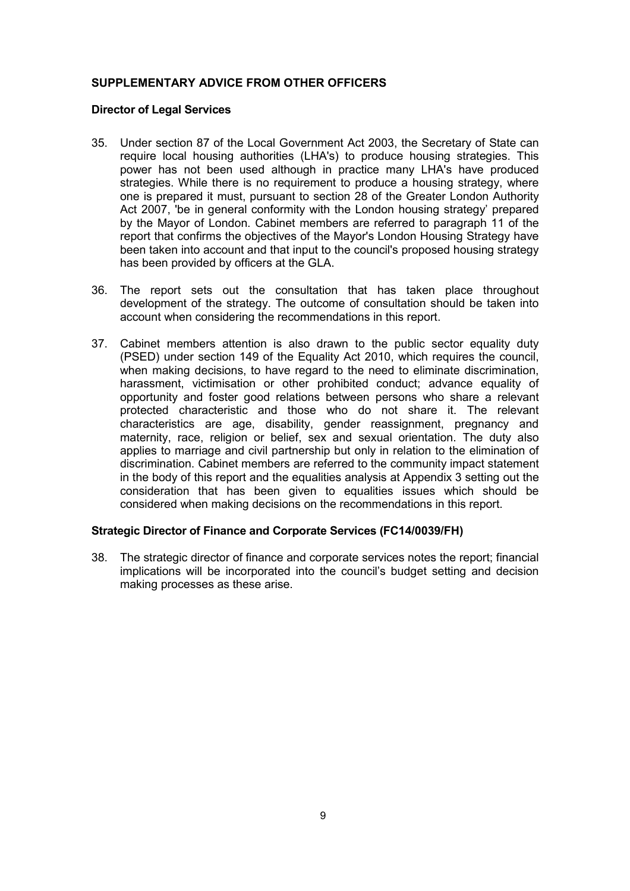# **SUPPLEMENTARY ADVICE FROM OTHER OFFICERS**

### **Director of Legal Services**

- 35. Under section 87 of the Local Government Act 2003, the Secretary of State can require local housing authorities (LHA's) to produce housing strategies. This power has not been used although in practice many LHA's have produced strategies. While there is no requirement to produce a housing strategy, where one is prepared it must, pursuant to section 28 of the Greater London Authority Act 2007, 'be in general conformity with the London housing strategy' prepared by the Mayor of London. Cabinet members are referred to paragraph 11 of the report that confirms the objectives of the Mayor's London Housing Strategy have been taken into account and that input to the council's proposed housing strategy has been provided by officers at the GLA.
- 36. The report sets out the consultation that has taken place throughout development of the strategy. The outcome of consultation should be taken into account when considering the recommendations in this report.
- 37. Cabinet members attention is also drawn to the public sector equality duty (PSED) under section 149 of the Equality Act 2010, which requires the council, when making decisions, to have regard to the need to eliminate discrimination, harassment, victimisation or other prohibited conduct; advance equality of opportunity and foster good relations between persons who share a relevant protected characteristic and those who do not share it. The relevant characteristics are age, disability, gender reassignment, pregnancy and maternity, race, religion or belief, sex and sexual orientation. The duty also applies to marriage and civil partnership but only in relation to the elimination of discrimination. Cabinet members are referred to the community impact statement in the body of this report and the equalities analysis at Appendix 3 setting out the consideration that has been given to equalities issues which should be considered when making decisions on the recommendations in this report.

#### **Strategic Director of Finance and Corporate Services (FC14/0039/FH)**

38. The strategic director of finance and corporate services notes the report; financial implications will be incorporated into the council's budget setting and decision making processes as these arise.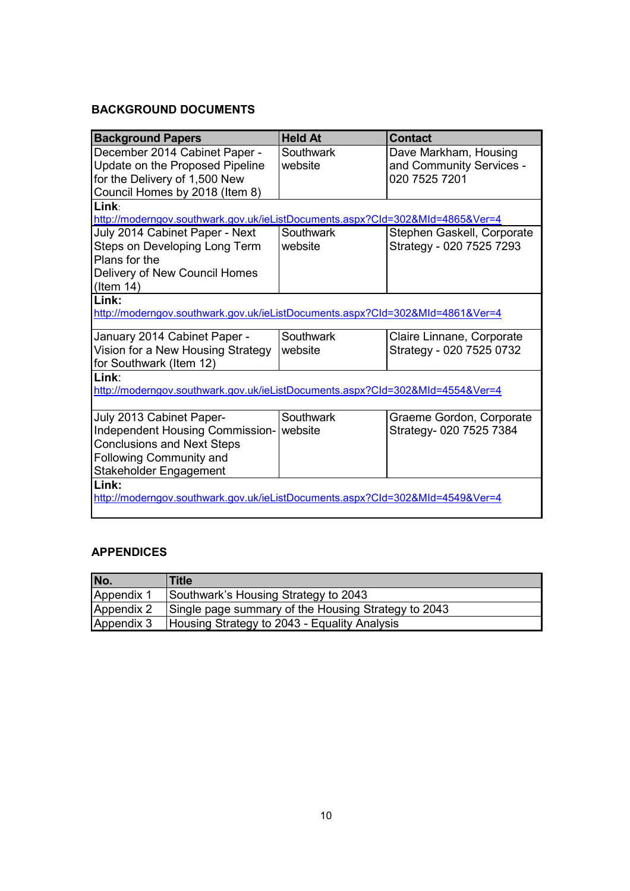# **BACKGROUND DOCUMENTS**

| <b>Background Papers</b>                                                      | <b>Held At</b>   | <b>Contact</b>             |  |  |  |
|-------------------------------------------------------------------------------|------------------|----------------------------|--|--|--|
| December 2014 Cabinet Paper -                                                 | <b>Southwark</b> | Dave Markham, Housing      |  |  |  |
| Update on the Proposed Pipeline                                               | website          | and Community Services -   |  |  |  |
| for the Delivery of 1,500 New                                                 |                  | 020 7525 7201              |  |  |  |
| Council Homes by 2018 (Item 8)                                                |                  |                            |  |  |  |
| Link                                                                          |                  |                            |  |  |  |
| http://moderngov.southwark.gov.uk/ieListDocuments.aspx?Cld=302&MId=4865&Ver=4 |                  |                            |  |  |  |
| July 2014 Cabinet Paper - Next                                                | Southwark        | Stephen Gaskell, Corporate |  |  |  |
| Steps on Developing Long Term                                                 | website          | Strategy - 020 7525 7293   |  |  |  |
| Plans for the                                                                 |                  |                            |  |  |  |
| Delivery of New Council Homes                                                 |                  |                            |  |  |  |
| $($ ltem 14 $)$                                                               |                  |                            |  |  |  |
| Link:                                                                         |                  |                            |  |  |  |
| http://moderngov.southwark.gov.uk/ieListDocuments.aspx?Cld=302&MId=4861&Ver=4 |                  |                            |  |  |  |
|                                                                               |                  |                            |  |  |  |
| January 2014 Cabinet Paper -                                                  | Southwark        | Claire Linnane, Corporate  |  |  |  |
| Vision for a New Housing Strategy                                             | website          | Strategy - 020 7525 0732   |  |  |  |
| for Southwark (Item 12)                                                       |                  |                            |  |  |  |
| Link:                                                                         |                  |                            |  |  |  |
| http://moderngov.southwark.gov.uk/ieListDocuments.aspx?CId=302&MId=4554&Ver=4 |                  |                            |  |  |  |
|                                                                               |                  |                            |  |  |  |
| July 2013 Cabinet Paper-                                                      | Southwark        | Graeme Gordon, Corporate   |  |  |  |
| Independent Housing Commission-                                               | website          | Strategy- 020 7525 7384    |  |  |  |
| <b>Conclusions and Next Steps</b>                                             |                  |                            |  |  |  |
| Following Community and                                                       |                  |                            |  |  |  |
| Stakeholder Engagement                                                        |                  |                            |  |  |  |
| Link:                                                                         |                  |                            |  |  |  |
| http://moderngov.southwark.gov.uk/ieListDocuments.aspx?Cld=302&MId=4549&Ver=4 |                  |                            |  |  |  |
|                                                                               |                  |                            |  |  |  |

# **APPENDICES**

| No.        | <b>Title</b>                                        |
|------------|-----------------------------------------------------|
| Appendix 1 | Southwark's Housing Strategy to 2043                |
| Appendix 2 | Single page summary of the Housing Strategy to 2043 |
| Appendix 3 | Housing Strategy to 2043 - Equality Analysis        |